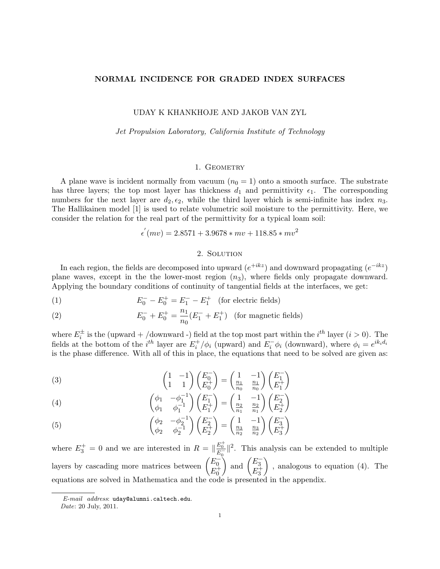# NORMAL INCIDENCE FOR GRADED INDEX SURFACES

### UDAY K KHANKHOJE AND JAKOB VAN ZYL

#### Jet Propulsion Laboratory, California Institute of Technology

## 1. GEOMETRY

A plane wave is incident normally from vacuum  $(n_0 = 1)$  onto a smooth surface. The substrate has three layers; the top most layer has thickness  $d_1$  and permittivity  $\epsilon_1$ . The corresponding numbers for the next layer are  $d_2, \epsilon_2$ , while the third layer which is semi-infinite has index  $n_3$ . The Hallikainen model [1] is used to relate volumetric soil moisture to the permittivity. Here, we consider the relation for the real part of the permittivity for a typical loam soil:

$$
\epsilon^{'}(mv) = 2.8571 + 3.9678 * mv + 118.85 * mv^{2}
$$

## 2. SOLUTION

In each region, the fields are decomposed into upward  $(e^{+ikz})$  and downward propagating  $(e^{-ikz})$ plane waves, except in the the lower-most region  $(n_3)$ , where fields only propagate downward. Applying the boundary conditions of continuity of tangential fields at the interfaces, we get:

(1) 
$$
E_0^- - E_0^+ = E_1^- - E_1^+ \quad \text{(for electric fields)}
$$

(2) 
$$
E_0^- + E_0^+ = \frac{n_1}{n_0}(E_1^- + E_1^+) \text{ (for magnetic fields)}
$$

where  $E_i^{\pm}$  is the (upward + /downward -) field at the top most part within the  $i^{th}$  layer  $(i > 0)$ . The fields at the bottom of the  $i^{th}$  layer are  $E_i^+/\phi_i$  (upward) and  $E_i^- \phi_i$  (downward), where  $\phi_i = e^{ik_i d_i}$ is the phase difference. With all of this in place, the equations that need to be solved are given as:

(3) 
$$
\begin{pmatrix} 1 & -1 \ 1 & 1 \end{pmatrix} \begin{pmatrix} E_0^- \ E_0^+ \end{pmatrix} = \begin{pmatrix} 1 & -1 \ \frac{n_1}{n_0} & \frac{n_1}{n_0} \end{pmatrix} \begin{pmatrix} E_1^- \ E_1^+ \end{pmatrix}
$$

(4) 
$$
\begin{pmatrix} \phi_1 & -\phi_1^{-1} \\ \phi_1 & \phi_1^{-1} \end{pmatrix} \begin{pmatrix} E_1^- \\ E_1^+ \end{pmatrix} = \begin{pmatrix} 1 & -1 \\ \frac{n_2}{n_1} & \frac{n_2}{n_1} \end{pmatrix} \begin{pmatrix} E_2^- \\ E_2^+ \end{pmatrix}
$$

(5) 
$$
\begin{pmatrix} \phi_2 & -\phi_2^{-1} \\ \phi_2 & \phi_2^{-1} \end{pmatrix} \begin{pmatrix} E_2^- \\ E_2^+ \end{pmatrix} = \begin{pmatrix} 1 & -1 \\ \frac{n_3}{n_2} & \frac{n_3}{n_2} \end{pmatrix} \begin{pmatrix} E_3^- \\ E_3^+ \end{pmatrix}
$$

where  $E_3^+ = 0$  and we are interested in  $R = \frac{E_0^+}{E_0^-}$   $\|^2$ . This analysis can be extended to multiple layers by cascading more matrices between  $\begin{pmatrix} E_0^- \\ E_0^+ \end{pmatrix}$ ) and  $\begin{pmatrix} E_3^- \ E_3^+ \end{pmatrix}$  , analogous to equation (4). The equations are solved in Mathematica and the code is presented in the appendix.

 $E$ -mail address: uday@alumni.caltech.edu.

Date: 20 July, 2011.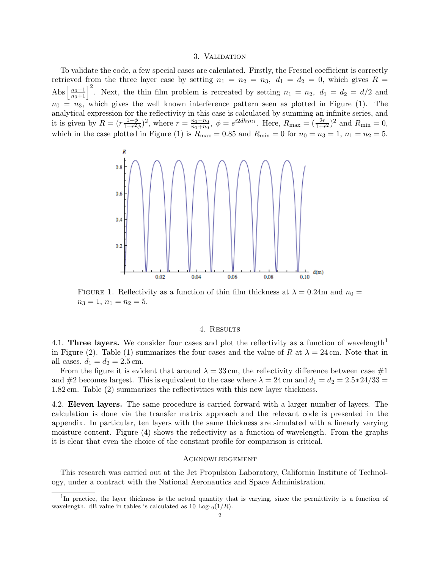#### 3. Validation

To validate the code, a few special cases are calculated. Firstly, the Fresnel coefficient is correctly retrieved from the three layer case by setting  $n_1 = n_2 = n_3$ ,  $d_1 = d_2 = 0$ , which gives  $R =$ Abs  $\left[\frac{n_3-1}{n_3+1}\right]^2$ . Next, the thin film problem is recreated by setting  $n_1 = n_2$ ,  $d_1 = d_2 = d/2$  and  $n_0 = n_3$ , which gives the well known interference pattern seen as plotted in Figure (1). The analytical expression for the reflectivity in this case is calculated by summing an infinite series, and it is given by  $R = (r \frac{1-\phi}{1-r^2})$  $\frac{1-\phi}{1-r^2\phi}$ )<sup>2</sup>, where  $r = \frac{n_1-n_0}{n_1+n_0}$  $\frac{n_1 - n_0}{n_1 + n_0}$ ,  $\phi = e^{i2dk_0 n_1}$ . Here,  $R_{\text{max}} = (\frac{2r}{1 + r^2})^2$  and  $R_{\text{min}} = 0$ , which in the case plotted in Figure (1) is  $R_{\text{max}} = 0.85$  and  $R_{\text{min}} = 0$  for  $n_0 = n_3 = 1, n_1 = n_2 = 5$ .



FIGURE 1. Reflectivity as a function of thin film thickness at  $\lambda = 0.24$ m and  $n_0 =$  $n_3 = 1, n_1 = n_2 = 5.$ 

## 4. Results

4.1. Three layers. We consider four cases and plot the reflectivity as a function of wavelength<sup>1</sup> in Figure (2). Table (1) summarizes the four cases and the value of R at  $\lambda = 24$  cm. Note that in all cases,  $d_1 = d_2 = 2.5$  cm.

From the figure it is evident that around  $\lambda = 33$  cm, the reflectivity difference between case #1 and #2 becomes largest. This is equivalent to the case where  $\lambda = 24$  cm and  $d_1 = d_2 = 2.5*24/33$ 1.82 cm. Table (2) summarizes the reflectivities with this new layer thickness.

4.2. Eleven layers. The same procedure is carried forward with a larger number of layers. The calculation is done via the transfer matrix approach and the relevant code is presented in the appendix. In particular, ten layers with the same thickness are simulated with a linearly varying moisture content. Figure (4) shows the reflectivity as a function of wavelength. From the graphs it is clear that even the choice of the constant profile for comparison is critical.

### Acknowledgement

This research was carried out at the Jet Propulsion Laboratory, California Institute of Technology, under a contract with the National Aeronautics and Space Administration.

<sup>&</sup>lt;sup>1</sup>In practice, the layer thickness is the actual quantity that is varying, since the permittivity is a function of wavelength. dB value in tables is calculated as 10  $Log_{10}(1/R)$ .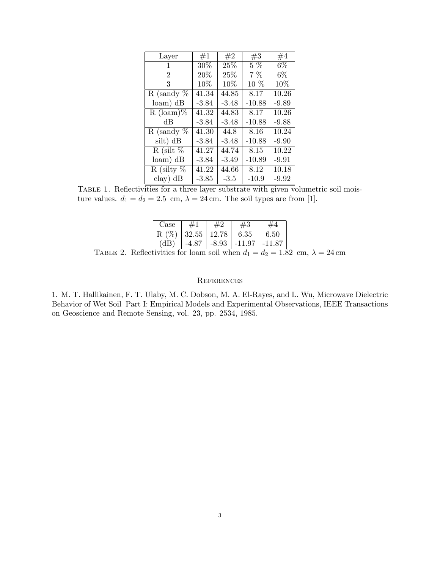| Layer             | #1      | #2      | #3       | #4      |
|-------------------|---------|---------|----------|---------|
| 1                 | 30%     | 25%     | $5\%$    | $6\%$   |
| $\overline{2}$    | 20%     | 25%     | $7\%$    | $6\%$   |
| 3                 | 10%     | 10\%    | $10\%$   | 10%     |
| R (sandy $\%$     | 41.34   | 44.85   | 8.17     | 10.26   |
| $\gamma$ dB       | $-3.84$ | $-3.48$ | $-10.88$ | $-9.89$ |
| $R$ (loam)%       | 41.32   | 44.83   | 8.17     | 10.26   |
| dВ                | $-3.84$ | $-3.48$ | $-10.88$ | $-9.88$ |
| R (sandy $%$      | 41.30   | 44.8    | 8.16     | 10.24   |
| silt) dB          | $-3.84$ | $-3.48$ | $-10.88$ | $-9.90$ |
| R (silt $%$       | 41.27   | 44.74   | 8.15     | 10.22   |
| $\gamma$ loam) dB | $-3.84$ | $-3.49$ | $-10.89$ | $-9.91$ |
| R (silty $%$      | 41.22   | 44.66   | 8.12     | 10.18   |
| clay) dB          | $-3.85$ | $-3.5$  | $-10.9$  | $-9.92$ |

TABLE 1. Reflectivities for a three layer substrate with given volumetric soil moisture values.  $d_1 = d_2 = 2.5$  cm,  $\lambda = 24$  cm. The soil types are from [1].

| ase: |       |         |        |        |
|------|-------|---------|--------|--------|
| R()  | 32.55 | 12.78   | 6.35   | 6.50   |
|      | -4.87 | $-8.93$ | -11.97 | -11.87 |

TABLE 2. Reflectivities for loam soil when  $d_1 = d_2 = 1.82$  cm,  $\lambda = 24$  cm

# **REFERENCES**

1. M. T. Hallikainen, F. T. Ulaby, M. C. Dobson, M. A. El-Rayes, and L. Wu, Microwave Dielectric Behavior of Wet Soil Part I: Empirical Models and Experimental Observations, IEEE Transactions on Geoscience and Remote Sensing, vol. 23, pp. 2534, 1985.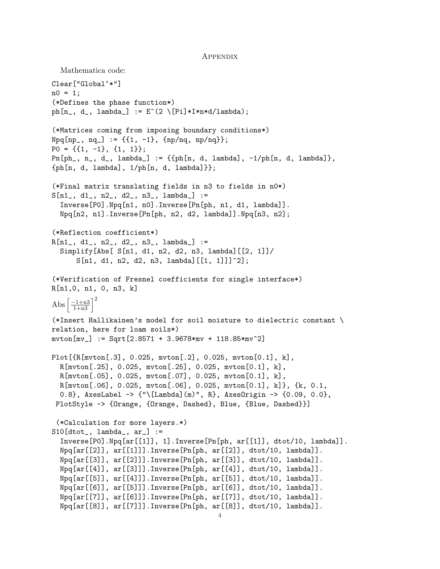#### **APPENDIX**

```
Mathematica code:
Clear["Global'*"]
n0 = 1;(*Defines the phase function*)
ph[n_, d_, lambda_] := E^(2 \setminus [Pi]*I*n*d/lambda);(*Matrices coming from imposing boundary conditions*)
Npq[np_, nq_ := {{1, -1}, {np/nq, np/nq}};
P0 = \{\{1, -1\}, \{1, 1\}\};Pn[ph_, n<sub>-</sub>, d<sub>-</sub>, lambda<sub>-</sub>] := {{ph[n, d, lambda], -1/ph[n, d, lambda]},
{ph[n, d, lambda], 1/ph[n, d, lambda]}};(*Final matrix translating fields in n3 to fields in n0*)
S[n1_, d1<sub>-</sub>, n2<sub>-</sub>, d2<sub>-</sub>, n3<sub>-</sub>, lambda<sub>-</sub>] :=
  Inverse[P0].Npq[n1, n0].Inverse[Pn[ph, n1, d1, lambda]].
  Npq[n2, n1].Inverse[Pn[ph, n2, d2, lambda]].Npq[n3, n2];
(*Reflection coefficient*)
R[n1_, d1_, n2_, d2_, n3_, lambda_] :=
  Simplify[Abs[ S[n1, d1, n2, d2, n3, lambda][[2, 1]]/
      S[n1, d1, n2, d2, n3, lambda][[1, 1]]]^2];
(*Verification of Fresnel coefficients for single interface*)
R[n1,0, n1, 0, n3, k]
Abs \left[\frac{-1+n3}{1+n3}\right]^2(*Insert Hallikainen's model for soil moisture to dielectric constant \
relation, here for loam soils*)
mvton[mv_] := Sqrt[2.8571 + 3.9678*mv + 118.85*mv^2]Plot[{R[mvton[.3], 0.025, mvton[.2], 0.025, mvton[0.1], k],
  R[mvton[.25], 0.025, mvton[.25], 0.025, mvton[0.1], k],
 R[mvton[.05], 0.025, mvton[.07], 0.025, mvton[0.1], k],
 R[mvton[.06], 0.025, mvton[.06], 0.025, mvton[0.1], k]}, {k, 0.1,
  0.8}, AxesLabel -> {"\[Lambda](m)", R}, AxesOrigin -> {0.09, 0.0},
 PlotStyle -> {Orange, {Orange, Dashed}, Blue, {Blue, Dashed}}]
 (*Calculation for more layers.*)
S10[dtot_{}, lambda<sub>, ar</sub>] :=
  Inverse[PO].Npq[ar[[1]], 1].Inverse[Ph, ar[[1]], dot(10, lambda)].Npq[ar[[2]], ar[[1]]].Inverse[Pn[ph, ar[[2]], dtot/10, lambda]].
  Npq[ar[[3]], ar[[2]]].Inverse[Pn[ph, ar[[3]], dtot/10, lambda]].
 Npq[ar[[4]], ar[[3]]].Inverse[Pn[ph, ar[[4]], dtot/10, lambda]].
 Npq[ar[[5]], ar[[4]]].Inverse[Ph[ph, ar[[5]], dot/10, lambda]].Npq[ar[[6]], ar[[5]]].Inverse[Pn[ph, ar[[6]], dtot/10, lambda]].
  Npq[ar[[7]], ar[[6]]].Inverse[Pn[ph, ar[[7]], dtot/10, lambda]].
  Npq[ar[[8]], ar[[7]]].Inverse[Pn[ph, ar[[8]], dtot/10, lambda]].
```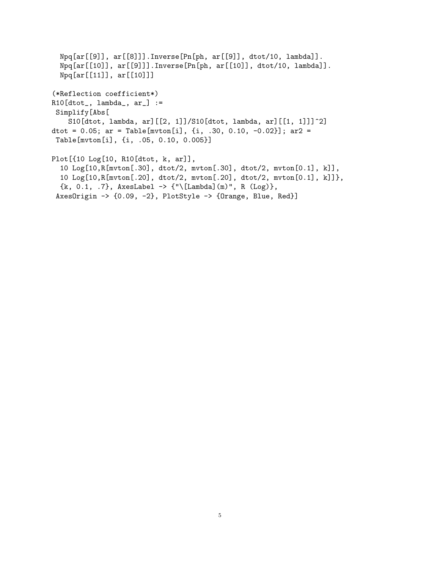```
Npq[ar[[9]], ar[[8]]].Inverse[Pn[ph, ar[[9]], dtot/10, lambda]].
  Npq[ar[[10]], ar[[9]]].Inverse[Pn[ph, ar[[10]], dtot/10, lambda]].
  Npq[ar[[11]], ar[[10]]]
(*Reflection coefficient*)
R10[dtot_, lambda_, ar_] :=
 Simplify[Abs[
    S10[dtot, lambda, ar][[2, 1]]/S10[dtot, lambda, ar][[1, 1]]]^2]
dtot = 0.05; ar = Table[mvton[i], {i, .30, 0.10, -0.02}]; ar2 =
 Table[mvton[i], {i, .05, 0.10, 0.005}]
Plot[{10 Log[10, R10[dtot, k, ar]],
  10 Log[10,R[mvton[.30], dtot/2, mvton[.30], dtot/2, mvton[0.1], k]],
  10 Log[10,R[mvton[.20], dtot/2, mvton[.20], dtot/2, mvton[0.1], k]]},
  {k, 0.1, .7}, AxesLabel -> {\lceil {\cdot} \cdot {\lceil {\cdot} \rceil}} (m)", R (Log)},
 AxesOrigin -> {0.09, -2}, PlotStyle -> {Orange, Blue, Red}]
```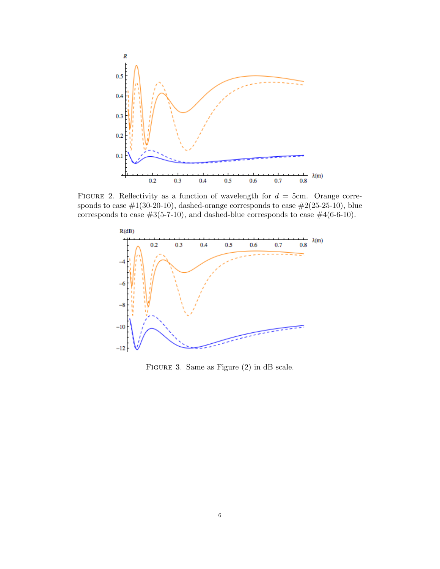

FIGURE 2. Reflectivity as a function of wavelength for  $d = 5$ cm. Orange corresponds to case  $\#1(30-20-10)$ , dashed-orange corresponds to case  $\#2(25-25-10)$ , blue corresponds to case  $#3(5-7-10)$ , and dashed-blue corresponds to case  $#4(6-6-10)$ .



Figure 3. Same as Figure (2) in dB scale.